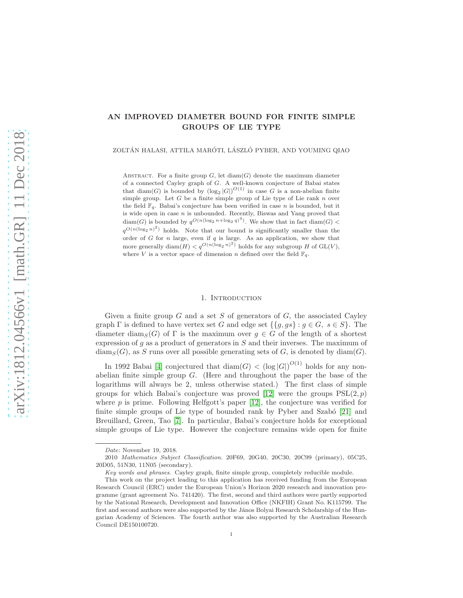# AN IMPROVED DIAMETER BOUND FOR FINITE SIMPLE GROUPS OF LIE TYPE

ZOLTÁN HALASI, ATTILA MARÓTI, LÁSZLÓ PYBER, AND YOUMING QIAO

ABSTRACT. For a finite group  $G$ , let  $\text{diam}(G)$  denote the maximum diameter of a connected Cayley graph of G. A well-known conjecture of Babai states that  $\text{diam}(G)$  is bounded by  $(\log_2 |G|)^{O(1)}$  in case G is a non-abelian finite simple group. Let  $G$  be a finite simple group of Lie type of Lie rank  $n$  over the field  $\mathbb{F}_q$ . Babai's conjecture has been verified in case *n* is bounded, but it is wide open in case  $n$  is unbounded. Recently, Biswas and Yang proved that  $\text{diam}(G)$  is bounded by  $q^{O(n(\log_2 n + \log_2 q)^3)}$ . We show that in fact  $\text{diam}(G)$  <  $q^{O(n(\log_2 n)^2)}$  holds. Note that our bound is significantly smaller than the order of  $G$  for  $n$  large, even if  $q$  is large. As an application, we show that more generally diam $(H) < q^{\mathcal{O}(n(\log_2 n)^2)}$  holds for any subgroup H of GL(V), where V is a vector space of dimension n defined over the field  $\mathbb{F}_q$ .

## 1. Introduction

Given a finite group  $G$  and a set  $S$  of generators of  $G$ , the associated Cayley graph  $\Gamma$  is defined to have vertex set G and edge set  $\{\{g, gs\} : g \in G, s \in S\}$ . The diameter diam<sub>S</sub>(G) of  $\Gamma$  is the maximum over  $g \in G$  of the length of a shortest expression of  $q$  as a product of generators in  $S$  and their inverses. The maximum of  $\dim_S(G)$ , as S runs over all possible generating sets of G, is denoted by  $\dim(G)$ .

In 1992 Babai [\[4\]](#page-12-0) conjectured that  $\text{diam}(G) < (\log |G|)^{O(1)}$  holds for any nonabelian finite simple group G. (Here and throughout the paper the base of the logarithms will always be 2, unless otherwise stated.) The first class of simple groups for which Babai's conjecture was proved [\[12\]](#page-12-1) were the groups  $PSL(2, p)$ where  $p$  is prime. Following Helfgott's paper [\[12\]](#page-12-1), the conjecture was verified for finite simple groups of Lie type of bounded rank by Pyber and Szabó [\[21\]](#page-13-0) and Breuillard, Green, Tao [\[7\]](#page-12-2). In particular, Babai's conjecture holds for exceptional simple groups of Lie type. However the conjecture remains wide open for finite

Date: November 19, 2018.

<sup>2010</sup> Mathematics Subject Classification. 20F69, 20G40, 20C30, 20C99 (primary), 05C25, 20D05, 51N30, 11N05 (secondary).

Key words and phrases. Cayley graph, finite simple group, completely reducible module.

This work on the project leading to this application has received funding from the European Research Council (ERC) under the European Union's Horizon 2020 research and innovation programme (grant agreement No. 741420). The first, second and third authors were partly supported by the National Research, Development and Innovation Office (NKFIH) Grant No. K115799. The first and second authors were also supported by the János Bolyai Research Scholarship of the Hungarian Academy of Sciences. The fourth author was also supported by the Australian Research Council DE150100720.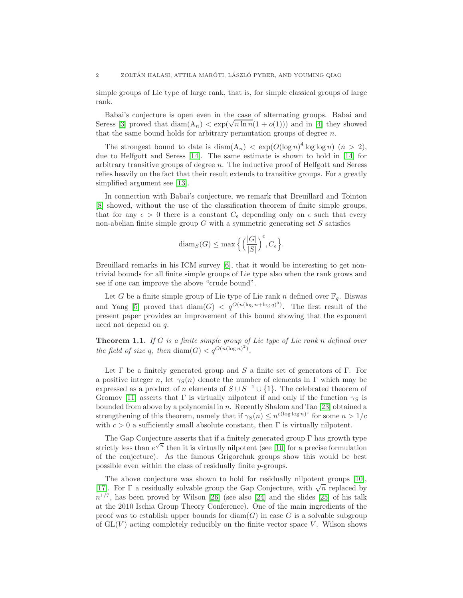simple groups of Lie type of large rank, that is, for simple classical groups of large rank.

Babai's conjecture is open even in the case of alternating groups. Babai and Seress [\[3\]](#page-12-3) proved that  $\text{diam}(A_n) < \exp(\sqrt{n \ln n}(1 + o(1)))$  and in [\[4\]](#page-12-0) they showed that the same bound holds for arbitrary permutation groups of degree  $n$ .

The strongest bound to date is  $\text{diam}(A_n) < \exp(O(\log n)^4 \log \log n)$   $(n > 2)$ , due to Helfgott and Seress [\[14\]](#page-12-4). The same estimate is shown to hold in [\[14\]](#page-12-4) for arbitrary transitive groups of degree  $n$ . The inductive proof of Helfgott and Seress relies heavily on the fact that their result extends to transitive groups. For a greatly simplified argument see [\[13\]](#page-12-5).

In connection with Babai's conjecture, we remark that Breuillard and Tointon [\[8\]](#page-12-6) showed, without the use of the classification theorem of finite simple groups, that for any  $\epsilon > 0$  there is a constant  $C_{\epsilon}$  depending only on  $\epsilon$  such that every non-abelian finite simple group  $G$  with a symmetric generating set  $S$  satisfies

$$
\text{diam}_S(G) \le \max\left\{ \left( \frac{|G|}{|S|} \right)^{\epsilon}, C_{\epsilon} \right\}.
$$

Breuillard remarks in his ICM survey [\[6\]](#page-12-7), that it would be interesting to get nontrivial bounds for all finite simple groups of Lie type also when the rank grows and see if one can improve the above "crude bound".

Let G be a finite simple group of Lie type of Lie rank n defined over  $\mathbb{F}_q$ . Biswas and Yang [\[5\]](#page-12-8) proved that  $\text{diam}(G) < q^{\mathcal{O}(n(\log n + \log q)^3)}$ . The first result of the present paper provides an improvement of this bound showing that the exponent need not depend on q.

<span id="page-1-0"></span>**Theorem 1.1.** If G is a finite simple group of Lie type of Lie rank n defined over the field of size q, then  $\text{diam}(G) < q^{O(n(\log n)^2)}$ .

Let  $\Gamma$  be a finitely generated group and S a finite set of generators of  $\Gamma$ . For a positive integer n, let  $\gamma_S(n)$  denote the number of elements in Γ which may be expressed as a product of n elements of  $S \cup S^{-1} \cup \{1\}$ . The celebrated theorem of Gromov [\[11\]](#page-12-9) asserts that  $\Gamma$  is virtually nilpotent if and only if the function  $\gamma_S$  is bounded from above by a polynomial in  $n$ . Recently Shalom and Tao [\[23\]](#page-13-1) obtained a strengthening of this theorem, namely that if  $\gamma_S(n) \leq n^{c(\log \log n)^c}$  for some  $n > 1/c$ with  $c > 0$  a sufficiently small absolute constant, then  $\Gamma$  is virtually nilpotent.

The Gap Conjecture asserts that if a finitely generated group Γ has growth type strictly less than  $e^{\sqrt{n}}$  then it is virtually nilpotent (see [\[10\]](#page-12-10) for a precise formulation of the conjecture). As the famous Grigorchuk groups show this would be best possible even within the class of residually finite p-groups.

The above conjecture was shown to hold for residually nilpotent groups [\[10\]](#page-12-10), [\[17\]](#page-13-2). For  $\Gamma$  a residually solvable group the Gap Conjecture, with  $\sqrt{n}$  replaced by  $n^{1/7}$ , has been proved by Wilson [\[26\]](#page-13-3) (see also [\[24\]](#page-13-4) and the slides [\[25\]](#page-13-5) of his talk at the 2010 Ischia Group Theory Conference). One of the main ingredients of the proof was to establish upper bounds for  $\text{diam}(G)$  in case G is a solvable subgroup of  $GL(V)$  acting completely reducibly on the finite vector space V. Wilson shows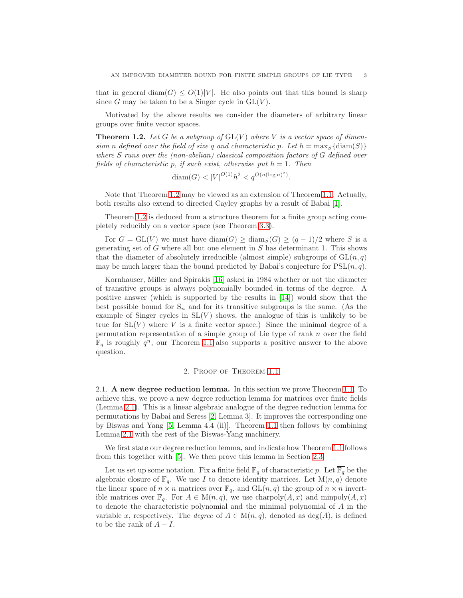that in general diam(G)  $\leq O(1)|V|$ . He also points out that this bound is sharp since G may be taken to be a Singer cycle in  $GL(V)$ .

Motivated by the above results we consider the diameters of arbitrary linear groups over finite vector spaces.

<span id="page-2-0"></span>**Theorem 1.2.** Let G be a subgroup of  $GL(V)$  where V is a vector space of dimension n defined over the field of size q and characteristic p. Let  $h = \max_S \{ \text{diam}(S) \}$ where S runs over the (non-abelian) classical composition factors of G defined over fields of characteristic p, if such exist, otherwise put  $h = 1$ . Then

$$
diam(G) < |V|^{O(1)}h^2 < q^{O(n(\log n)^2)}.
$$

Note that Theorem [1.2](#page-2-0) may be viewed as an extension of Theorem [1.1.](#page-1-0) Actually, both results also extend to directed Cayley graphs by a result of Babai [\[1\]](#page-12-11).

Theorem [1.2](#page-2-0) is deduced from a structure theorem for a finite group acting completely reducibly on a vector space (see Theorem [3.3\)](#page-9-0).

For  $G = GL(V)$  we must have  $\text{diam}(G) \ge \text{diam}_S(G) \ge (q-1)/2$  where S is a generating set of  $G$  where all but one element in  $S$  has determinant 1. This shows that the diameter of absolutely irreducible (almost simple) subgroups of  $GL(n, q)$ may be much larger than the bound predicted by Babai's conjecture for  $PSL(n, q)$ .

Kornhauser, Miller and Spirakis [\[16\]](#page-13-6) asked in 1984 whether or not the diameter of transitive groups is always polynomially bounded in terms of the degree. A positive answer (which is supported by the results in [\[14\]](#page-12-4)) would show that the best possible bound for  $S_n$  and for its transitive subgroups is the same. (As the example of Singer cycles in  $SL(V)$  shows, the analogue of this is unlikely to be true for  $SL(V)$  where V is a finite vector space.) Since the minimal degree of a permutation representation of a simple group of Lie type of rank n over the field  $\mathbb{F}_q$  is roughly  $q^n$ , our Theorem [1.1](#page-1-0) also supports a positive answer to the above question.

## 2. Proof of Theorem [1.1](#page-1-0)

<span id="page-2-1"></span>2.1. A new degree reduction lemma. In this section we prove Theorem [1.1.](#page-1-0) To achieve this, we prove a new degree reduction lemma for matrices over finite fields (Lemma [2.1\)](#page-3-0). This is a linear algebraic analogue of the degree reduction lemma for permutations by Babai and Seress [\[2,](#page-12-12) Lemma 3]. It improves the corresponding one by Biswas and Yang [\[5,](#page-12-8) Lemma 4.4 (ii)]. Theorem [1.1](#page-1-0) then follows by combining Lemma [2.1](#page-3-0) with the rest of the Biswas-Yang machinery.

We first state our degree reduction lemma, and indicate how Theorem [1.1](#page-1-0) follows from this together with [\[5\]](#page-12-8). We then prove this lemma in Section [2.3.](#page-5-0)

Let us set up some notation. Fix a finite field  $\mathbb{F}_q$  of characteristic p. Let  $\overline{\mathbb{F}_q}$  be the algebraic closure of  $\mathbb{F}_q$ . We use I to denote identity matrices. Let  $M(n,q)$  denote the linear space of  $n \times n$  matrices over  $\mathbb{F}_q$ , and  $GL(n, q)$  the group of  $n \times n$  invertible matrices over  $\mathbb{F}_q$ . For  $A \in M(n,q)$ , we use charpoly $(A, x)$  and minpoly $(A, x)$ to denote the characteristic polynomial and the minimal polynomial of A in the variable x, respectively. The *degree* of  $A \in M(n,q)$ , denoted as  $deg(A)$ , is defined to be the rank of  $A - I$ .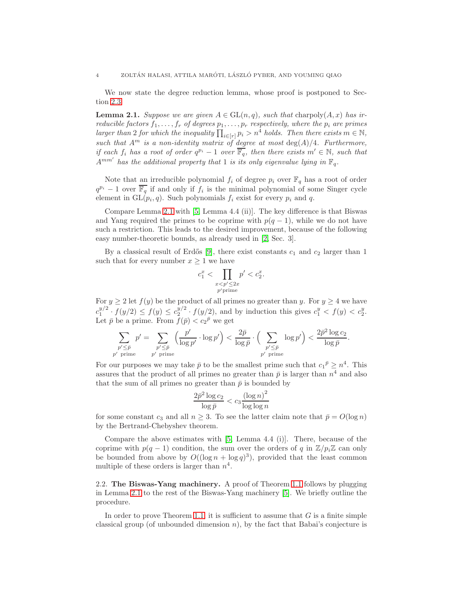We now state the degree reduction lemma, whose proof is postponed to Section [2.3.](#page-5-0)

<span id="page-3-0"></span>**Lemma 2.1.** Suppose we are given  $A \in GL(n,q)$ , such that charpoly $(A, x)$  has irreducible factors  $f_1, \ldots, f_r$  of degrees  $p_1, \ldots, p_r$  respectively, where the  $p_i$  are primes larger than 2 for which the inequality  $\prod_{i \in [r]} p_i > n^4$  holds. Then there exists  $m \in \mathbb{N}$ , such that  $A^m$  is a non-identity matrix of degree at most  $\deg(A)/4$ . Furthermore, if each  $f_i$  has a root of order  $q^{p_i} - 1$  over  $\overline{\mathbb{F}_q}$ , then there exists  $m' \in \mathbb{N}$ , such that  $A^{mm'}$  has the additional property that 1 is its only eigenvalue lying in  $\mathbb{F}_q$ .

Note that an irreducible polynomial  $f_i$  of degree  $p_i$  over  $\mathbb{F}_q$  has a root of order  $q^{pi} - 1$  over  $\overline{\mathbb{F}_q}$  if and only if  $f_i$  is the minimal polynomial of some Singer cycle element in  $GL(p_i, q)$ . Such polynomials  $f_i$  exist for every  $p_i$  and  $q$ .

Compare Lemma [2.1](#page-3-0) with [\[5,](#page-12-8) Lemma 4.4 (ii)]. The key difference is that Biswas and Yang required the primes to be coprime with  $p(q-1)$ , while we do not have such a restriction. This leads to the desired improvement, because of the following easy number-theoretic bounds, as already used in [\[2,](#page-12-12) Sec. 3].

By a classical result of Erdős [\[9\]](#page-12-13), there exist constants  $c_1$  and  $c_2$  larger than 1 such that for every number  $x \geq 1$  we have

$$
c_1^x < \prod_{\substack{x < p' \le 2x \\ p' \text{ prime}}} p' < c_2^x.
$$

For  $y \ge 2$  let  $f(y)$  be the product of all primes no greater than y. For  $y \ge 4$  we have  $c_1^{y/2} \cdot f(y/2) \le f(y) \le c_2^{y/2} \cdot f(y/2)$ , and by induction this gives  $c_1^y < f(y) < c_2^y$ . Let  $\bar{p}$  be a prime. From  $f(\bar{p}) < c_2^{\bar{p}}$  we get

$$
\sum_{\substack{p' \leq \bar{p} \\ p' \text{ prime}}} p' = \sum_{\substack{p' \leq \bar{p} \\ p' \text{ prime}}} \left(\frac{p'}{\log p'} \cdot \log p'\right) < \frac{2\bar{p}}{\log \bar{p}} \cdot \left(\sum_{\substack{p' \leq \bar{p} \\ p' \text{ prime}}} \log p'\right) < \frac{2\bar{p}^2 \log c_2}{\log \bar{p}}.
$$

For our purposes we may take  $\bar{p}$  to be the smallest prime such that  $c_1^{\bar{p}} \geq n^4$ . This assures that the product of all primes no greater than  $\bar{p}$  is larger than  $n^4$  and also that the sum of all primes no greater than  $\bar{p}$  is bounded by

$$
\frac{2\bar{p}^2\log c_2}{\log \bar{p}} < c_3 \frac{\left(\log n\right)^2}{\log \log n}
$$

for some constant  $c_3$  and all  $n \geq 3$ . To see the latter claim note that  $\bar{p} = O(\log n)$ by the Bertrand-Chebyshev theorem.

Compare the above estimates with [\[5,](#page-12-8) Lemma 4.4 (i)]. There, because of the coprime with  $p(q-1)$  condition, the sum over the orders of q in  $\mathbb{Z}/p_i\mathbb{Z}$  can only be bounded from above by  $O((\log n + \log q)^3)$ , provided that the least common multiple of these orders is larger than  $n^4$ .

2.2. The Biswas-Yang machinery. A proof of Theorem [1.1](#page-1-0) follows by plugging in Lemma [2.1](#page-3-0) to the rest of the Biswas-Yang machinery [\[5\]](#page-12-8). We briefly outline the procedure.

In order to prove Theorem [1.1,](#page-1-0) it is sufficient to assume that  $G$  is a finite simple classical group (of unbounded dimension  $n$ ), by the fact that Babai's conjecture is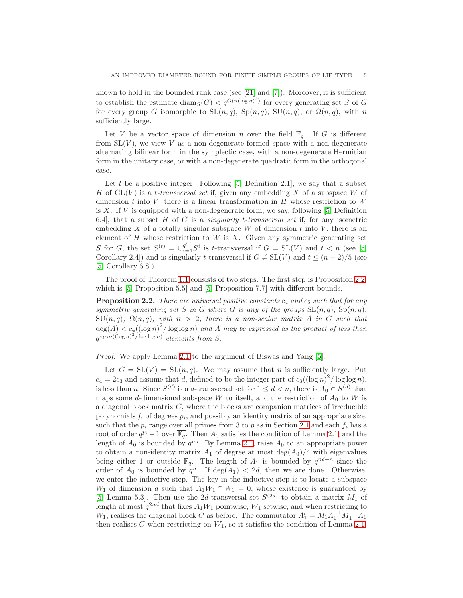known to hold in the bounded rank case (see [\[21\]](#page-13-0) and [\[7\]](#page-12-2)). Moreover, it is sufficient to establish the estimate  $\text{diam}_S(G) < q^{O(n(\log n)^2)}$  for every generating set S of G for every group G isomorphic to  $SL(n, q)$ ,  $Sp(n, q)$ ,  $SU(n, q)$ , or  $\Omega(n, q)$ , with n sufficiently large.

Let V be a vector space of dimension n over the field  $\mathbb{F}_q$ . If G is different from  $SL(V)$ , we view V as a non-degenerate formed space with a non-degenerate alternating bilinear form in the symplectic case, with a non-degenerate Hermitian form in the unitary case, or with a non-degenerate quadratic form in the orthogonal case.

Let  $t$  be a positive integer. Following [\[5,](#page-12-8) Definition 2.1], we say that a subset H of  $GL(V)$  is a t-transversal set if, given any embedding X of a subspace W of dimension  $t$  into  $V$ , there is a linear transformation in  $H$  whose restriction to  $W$ is  $X$ . If  $V$  is equipped with a non-degenerate form, we say, following [\[5,](#page-12-8) Definition 6.4], that a subset  $H$  of  $G$  is a *singularly t-transversal set* if, for any isometric embedding X of a totally singular subspace  $W$  of dimension t into  $V$ , there is an element of  $H$  whose restriction to  $W$  is  $X$ . Given any symmetric generating set S for G, the set  $S^{(t)} = \bigcup_{i=1}^{q^{nt}} S^i$  is t-transversal if  $G = SL(V)$  and  $t < n$  (see [\[5,](#page-12-8) Corollary 2.4)) and is singularly t-transversal if  $G \neq SL(V)$  and  $t \leq (n-2)/5$  (see [\[5,](#page-12-8) Corollary 6.8]).

The proof of Theorem [1.1](#page-1-0) consists of two steps. The first step is Proposition [2.2,](#page-4-0) which is [\[5,](#page-12-8) Proposition 5.5] and [5, Proposition 7.7] with different bounds.

<span id="page-4-0"></span>**Proposition 2.2.** There are universal positive constants  $c_4$  and  $c_5$  such that for any symmetric generating set S in G where G is any of the groups  $SL(n, q)$ ,  $Sp(n, q)$ ,  $\text{SU}(n,q)$ ,  $\Omega(n,q)$ , with  $n > 2$ , there is a non-scalar matrix A in G such that  $deg(A) < c_4((\log n)^2/\log \log n)$  and A may be expressed as the product of less than  $q^{c_5\cdot n\cdot((\log n)^2/\log\log n)}$  elements from S.

Proof. We apply Lemma [2.1](#page-3-0) to the argument of Biswas and Yang [\[5\]](#page-12-8).

Let  $G = SL(V) = SL(n, q)$ . We may assume that n is sufficiently large. Put  $c_4 = 2c_3$  and assume that d, defined to be the integer part of  $c_3((\log n)^2/\log \log n)$ , is less than *n*. Since  $S^{(d)}$  is a *d*-transversal set for  $1 \le d < n$ , there is  $A_0 \in S^{(d)}$  that maps some d-dimensional subspace W to itself, and the restriction of  $A_0$  to W is a diagonal block matrix  $C$ , where the blocks are companion matrices of irreducible polynomials  $f_i$  of degrees  $p_i$ , and possibly an identity matrix of an appropriate size, such that the  $p_i$  range over all primes from 3 to  $\bar{p}$  as in Section [2.1](#page-2-1) and each  $f_i$  has a root of order  $q^{p_i} - 1$  over  $\overline{\mathbb{F}_q}$ . Then  $A_0$  satisfies the condition of Lemma [2.1,](#page-3-0) and the length of  $A_0$  is bounded by  $q^{nd}$ . By Lemma [2.1,](#page-3-0) raise  $A_0$  to an appropriate power to obtain a non-identity matrix  $A_1$  of degree at most  $\deg(A_0)/4$  with eigenvalues being either 1 or outside  $\mathbb{F}_q$ . The length of  $A_1$  is bounded by  $q^{nd+n}$  since the order of  $A_0$  is bounded by  $q^n$ . If deg( $A_1$ ) < 2d, then we are done. Otherwise, we enter the inductive step. The key in the inductive step is to locate a subspace  $W_1$  of dimension d such that  $A_1W_1 \cap W_1 = 0$ , whose existence is guaranteed by [\[5,](#page-12-8) Lemma 5.3]. Then use the 2d-transversal set  $S^{(2d)}$  to obtain a matrix  $M_1$  of length at most  $q^{2nd}$  that fixes  $A_1W_1$  pointwise,  $W_1$  setwise, and when restricting to  $W_1$ , realises the diagonal block C as before. The commutator  $A'_1 = M_1 A_1^{-1} M_1^{-1} A_1$ then realises C when restricting on  $W_1$ , so it satisfies the condition of Lemma [2.1.](#page-3-0)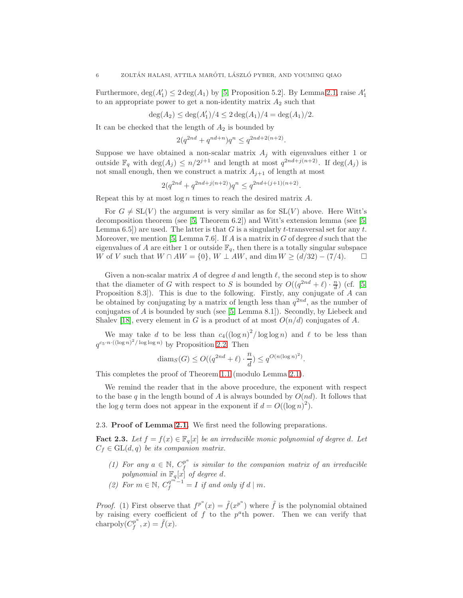Furthermore,  $deg(A'_1) \leq 2 deg(A_1)$  by [\[5,](#page-12-8) Proposition 5.2]. By Lemma [2.1,](#page-3-0) raise  $A'_1$ to an appropriate power to get a non-identity matrix  $A_2$  such that

$$
\deg(A_2) \le \deg(A'_1)/4 \le 2\deg(A_1)/4 = \deg(A_1)/2.
$$

It can be checked that the length of  $A_2$  is bounded by

$$
2(q^{2nd} + q^{nd+n})q^n \le q^{2nd + 2(n+2)}
$$

.

Suppose we have obtained a non-scalar matrix  $A_j$  with eigenvalues either 1 or outside  $\mathbb{F}_q$  with  $\deg(A_j) \leq n/2^{j+1}$  and length at most  $q^{2nd+j(n+2)}$ . If  $\deg(A_j)$  is not small enough, then we construct a matrix  $A_{i+1}$  of length at most

$$
2(q^{2nd} + q^{2nd+j(n+2)})q^n \le q^{2nd+(j+1)(n+2)}.
$$

Repeat this by at most  $\log n$  times to reach the desired matrix A.

For  $G \neq SL(V)$  the argument is very similar as for  $SL(V)$  above. Here Witt's decomposition theorem (see [\[5,](#page-12-8) Theorem 6.2]) and Witt's extension lemma (see [\[5,](#page-12-8) Lemma 6.5) are used. The latter is that G is a singularly t-transversal set for any t. Moreover, we mention [\[5,](#page-12-8) Lemma 7.6]. If A is a matrix in G of degree d such that the eigenvalues of A are either 1 or outside  $\mathbb{F}_q$ , then there is a totally singular subspace W of V such that  $W \cap AW = \{0\}$ ,  $W \perp AW$ , and dim  $W \ge (d/32) - (7/4)$ .  $\Box$ 

Given a non-scalar matrix A of degree d and length  $\ell$ , the second step is to show that the diameter of G with respect to S is bounded by  $O((q^{2nd} + \ell) \cdot \frac{n}{d})$  (cf. [\[5,](#page-12-8) Proposition 8.3]). This is due to the following. Firstly, any conjugate of A can be obtained by conjugating by a matrix of length less than  $q^{2nd}$ , as the number of conjugates of A is bounded by such (see [\[5,](#page-12-8) Lemma 8.1]). Secondly, by Liebeck and Shalev [\[18\]](#page-13-7), every element in G is a product of at most  $O(n/d)$  conjugates of A.

We may take d to be less than  $c_4((\log n)^2/\log \log n)$  and  $\ell$  to be less than  $q^{c_5 \cdot n \cdot ((\log n)^2/\log \log n)}$  by Proposition [2.2.](#page-4-0) Then

$$
\text{diam}_S(G) \le O((q^{2nd} + \ell) \cdot \frac{n}{d}) \le q^{O(n(\log n)^2)}.
$$

This completes the proof of Theorem [1.1](#page-1-0) (modulo Lemma [2.1\)](#page-3-0).

We remind the reader that in the above procedure, the exponent with respect to the base q in the length bound of A is always bounded by  $O(nd)$ . It follows that the log q term does not appear in the exponent if  $d = O((\log n)^2)$ .

<span id="page-5-0"></span>2.3. Proof of Lemma [2.1.](#page-3-0) We first need the following preparations.

<span id="page-5-1"></span>**Fact 2.3.** Let  $f = f(x) \in \mathbb{F}_q[x]$  be an irreducible monic polynomial of degree d. Let  $C_f \in GL(d, q)$  be its companion matrix.

- (1) For any  $a \in \mathbb{N}$ ,  $C_f^{p^a}$  $\frac{p}{f}$  is similar to the companion matrix of an irreducible polynomial in  $\mathbb{F}_q[x]$  of degree d.
- (2) For  $m \in \mathbb{N}$ ,  $C_f^{q^{m}-1} = I$  if and only if  $d \mid m$ .

*Proof.* (1) First observe that  $f^{p^a}(x) = \tilde{f}(x^{p^a})$  where  $\tilde{f}$  is the polynomial obtained by raising every coefficient of  $f$  to the  $p^a$ th power. Then we can verify that charpoly $\check{C}_f^{p^a}$  $f_f^{(p^a},x) = \tilde{f}(x).$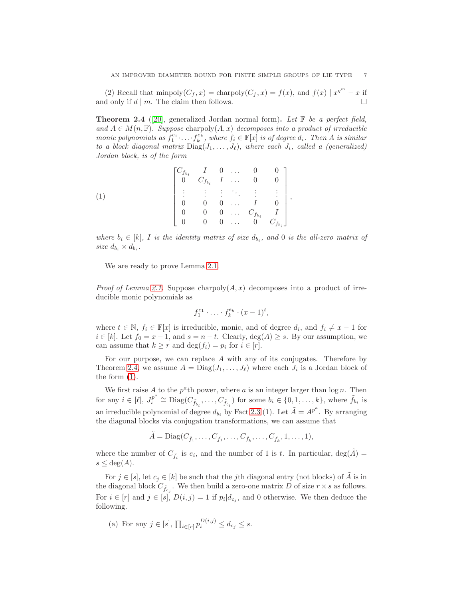(2) Recall that  $\text{minpoly}(C_f, x) = \text{charpoly}(C_f, x) = f(x)$ , and  $f(x) | x^{q^m} - x$  if and only if  $d \mid m$ . The claim then follows.

<span id="page-6-0"></span>**Theorem 2.4** ([\[20\]](#page-13-8), generalized Jordan normal form). Let  $\mathbb{F}$  be a perfect field, and  $A \in M(n, \mathbb{F})$ . Suppose charpoly $(A, x)$  decomposes into a product of irreducible monic polynomials as  $f_1^{e_1} \ldots f_k^{e_k}$ , where  $f_i \in \mathbb{F}[x]$  is of degree  $d_i$ . Then A is similar to a block diagonal matrix  $Diag(J_1, \ldots, J_\ell)$ , where each  $J_i$ , called a (generalized) Jordan block, is of the form

<span id="page-6-1"></span>(1) 
$$
\begin{bmatrix} C_{f_{b_i}} & I & 0 & \dots & 0 & 0 \\ 0 & C_{f_{b_i}} & I & \dots & 0 & 0 \\ \vdots & \vdots & \vdots & \ddots & \vdots & \vdots \\ 0 & 0 & 0 & \dots & I & 0 \\ 0 & 0 & 0 & \dots & C_{f_{b_i}} & I \\ 0 & 0 & 0 & \dots & 0 & C_{f_{b_i}} \end{bmatrix},
$$

where  $b_i \in [k]$ , I is the identity matrix of size  $d_{b_i}$ , and 0 is the all-zero matrix of size  $d_{b_i} \times d_{b_i}$ .

We are ready to prove Lemma [2.1.](#page-3-0)

*Proof of Lemma [2.1.](#page-3-0)* Suppose charpoly $(A, x)$  decomposes into a product of irreducible monic polynomials as

$$
f_1^{e_1} \cdot \ldots \cdot f_k^{e_k} \cdot (x-1)^t,
$$

where  $t \in \mathbb{N}$ ,  $f_i \in \mathbb{F}[x]$  is irreducible, monic, and of degree  $d_i$ , and  $f_i \neq x - 1$  for  $i \in [k]$ . Let  $f_0 = x - 1$ , and  $s = n - t$ . Clearly,  $deg(A) \geq s$ . By our assumption, we can assume that  $k \geq r$  and  $\deg(f_i) = p_i$  for  $i \in [r]$ .

For our purpose, we can replace A with any of its conjugates. Therefore by Theorem [2.4,](#page-6-0) we assume  $A = \text{Diag}(J_1, \ldots, J_\ell)$  where each  $J_i$  is a Jordan block of the form [\(1\)](#page-6-1).

We first raise  $A$  to the  $p^a$ th power, where  $a$  is an integer larger than  $\log n$ . Then for any  $i \in [\ell], J_i^{p^a}$  $e^{p^a} \cong \text{Diag}(C_{\tilde{f}_{b_i}}, \ldots, C_{\tilde{f}_{b_i}})$  for some  $b_i \in \{0, 1, \ldots, k\}$ , where  $\tilde{f}_{b_i}$  is an irreducible polynomial of degree  $d_{b_i}$  by Fact [2.3](#page-5-1) (1). Let  $\tilde{A} = A^{p^a}$ . By arranging the diagonal blocks via conjugation transformations, we can assume that

$$
\tilde{A} = \text{Diag}(C_{\tilde{f}_1}, \dots, C_{\tilde{f}_1}, \dots, C_{\tilde{f}_k}, \dots, C_{\tilde{f}_k}, 1, \dots, 1),
$$

where the number of  $C_{\tilde{f}_i}$  is  $e_i$ , and the number of 1 is t. In particular,  $deg(\tilde{A}) =$  $s \leq deg(A).$ 

For  $j \in [s]$ , let  $c_j \in [k]$  be such that the j<sup>th</sup> diagonal entry (not blocks) of A is in the diagonal block  $C_{\tilde{f}_{c_j}}$ . We then build a zero-one matrix D of size  $r \times s$  as follows. For  $i \in [r]$  and  $j \in [s]$ ,  $D(i, j) = 1$  if  $p_i | d_{c_j}$ , and 0 otherwise. We then deduce the following.

(a) For any  $j \in [s], \prod_{i \in [r]} p_i^{D(i,j)} \le d_{c_j} \le s.$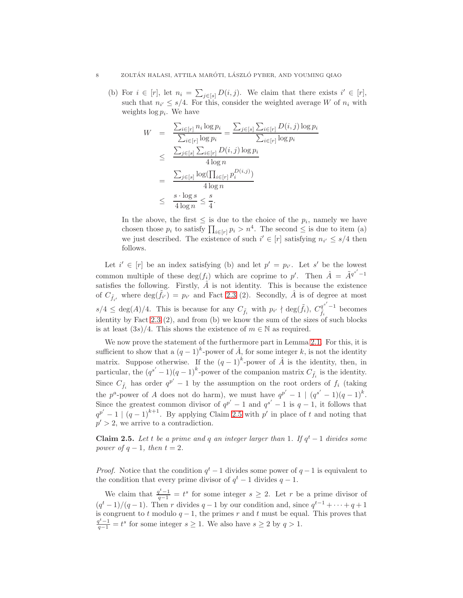(b) For  $i \in [r]$ , let  $n_i = \sum_{j \in [s]} D(i, j)$ . We claim that there exists  $i' \in [r]$ , such that  $n_{i'} \leq s/4$ . For this, consider the weighted average W of  $n_i$  with weights  $\log p_i$ . We have

$$
W = \frac{\sum_{i \in [r]} n_i \log p_i}{\sum_{i \in [r]} \log p_i} = \frac{\sum_{j \in [s]} \sum_{i \in [r]} D(i, j) \log p_i}{\sum_{i \in [r]} \log p_i}
$$
  

$$
\leq \frac{\sum_{j \in [s]} \sum_{i \in [r]} D(i, j) \log p_i}{4 \log n}
$$
  

$$
= \frac{\sum_{j \in [s]} \log(\prod_{i \in [r]} p_i^{D(i, j)})}{4 \log n}
$$
  

$$
\leq \frac{s \cdot \log s}{4 \log n} \leq \frac{s}{4}.
$$

In the above, the first  $\leq$  is due to the choice of the  $p_i$ , namely we have chosen those  $p_i$  to satisfy  $\prod_{i \in [r]} p_i > n^4$ . The second  $\leq$  is due to item (a) we just described. The existence of such  $i' \in [r]$  satisfying  $n_{i'} \leq s/4$  then follows.

Let  $i' \in [r]$  be an index satisfying (b) and let  $p' = p_{i'}$ . Let s' be the lowest common multiple of these  $deg(f_i)$  which are coprime to p'. Then  $\hat{A} = \tilde{A}^{q^{s'}-1}$ satisfies the following. Firstly,  $\hat{A}$  is not identity. This is because the existence of  $C_{\tilde{f}_{i'}}$  where  $\deg(\tilde{f}_{i'}) = p_{i'}$  and Fact [2.3](#page-5-1) (2). Secondly,  $\hat{A}$  is of degree at most  $s/4 \leq \deg(A)/4$ . This is because for any  $C_{\tilde{f}_i}$  with  $p_{i'} \nmid \deg(\tilde{f}_i)$ ,  $C_{\tilde{f}_i}^{q^{s'}-1}$  becomes identity by Fact [2.3](#page-5-1) (2), and from (b) we know the sum of the sizes of such blocks is at least  $(3s)/4$ . This shows the existence of  $m \in \mathbb{N}$  as required.

We now prove the statement of the furthermore part in Lemma [2.1.](#page-3-0) For this, it is sufficient to show that a  $(q-1)^k$ -power of  $\hat{A}$ , for some integer k, is not the identity matrix. Suppose otherwise. If the  $(q-1)^k$ -power of  $\hat{A}$  is the identity, then, in particular, the  $(q^{s'}-1)(q-1)^k$ -power of the companion matrix  $C_{\tilde{f}_i}$  is the identity. Since  $C_{\tilde{f}_i}$  has order  $q^{p'}-1$  by the assumption on the root orders of  $f_i$  (taking the  $p^a$ -power of A does not do harm), we must have  $q^{p'}-1 \mid (q^{s'}-1)(q-1)^k$ . Since the greatest common divisor of  $q^{p'}-1$  and  $q^{s'}-1$  is  $q-1$ , it follows that  $q^{p'}-1 \mid (q-1)^{k+1}$ . By applying Claim [2.5](#page-7-0) with p' in place of t and noting that  $p' > 2$ , we arrive to a contradiction.

<span id="page-7-0"></span>**Claim 2.5.** Let t be a prime and q an integer larger than 1. If  $q<sup>t</sup> - 1$  divides some power of  $q-1$ , then  $t=2$ .

*Proof.* Notice that the condition  $q<sup>t</sup> - 1$  divides some power of  $q - 1$  is equivalent to the condition that every prime divisor of  $q<sup>t</sup> - 1$  divides  $q - 1$ .

We claim that  $\frac{q^t-1}{q-1} = t^s$  for some integer  $s \geq 2$ . Let r be a prime divisor of  $(q<sup>t</sup> - 1)/(q - 1)$ . Then r divides  $q - 1$  by our condition and, since  $q<sup>t-1</sup> + \cdots + q + 1$ is congruent to t modulo  $q-1$ , the primes r and t must be equal. This proves that  $\frac{q^t-1}{q-1} = t^s$  for some integer  $s \ge 1$ . We also have  $s \ge 2$  by  $q > 1$ .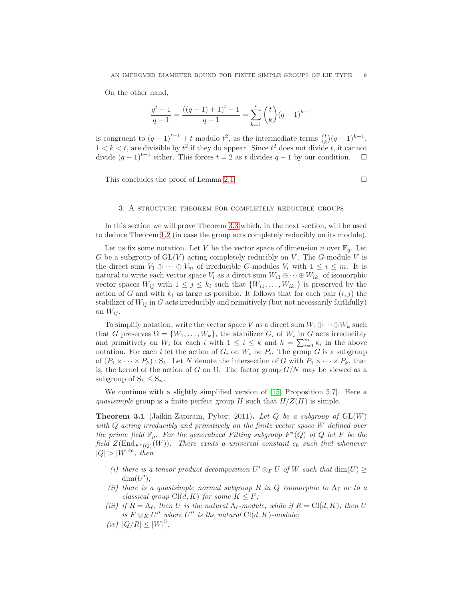On the other hand,

$$
\frac{q^{t}-1}{q-1} = \frac{((q-1)+1)^{t}-1}{q-1} = \sum_{k=1}^{t} {t \choose k} (q-1)^{k-1}
$$

is congruent to  $(q-1)^{t-1} + t$  modulo  $t^2$ , as the intermediate terms  $\binom{t}{k}(q-1)^{k-1}$ ,  $1 < k < t$ , are divisible by  $t^2$  if they do appear. Since  $t^2$  does not divide t, it cannot divide  $(q-1)^{t-1}$  either. This forces  $t = 2$  as t divides  $q-1$  by our condition.  $\Box$ 

This concludes the proof of Lemma [2.1.](#page-3-0)  $\Box$ 

## 3. A structure theorem for completely reducible groups

In this section we will prove Theorem [3.3](#page-9-0) which, in the next section, will be used to deduce Theorem [1.2](#page-2-0) (in case the group acts completely reducibly on its module).

Let us fix some notation. Let V be the vector space of dimension n over  $\mathbb{F}_q$ . Let  $G$  be a subgroup of  $GL(V)$  acting completely reducibly on  $V$ . The  $G$ -module  $V$  is the direct sum  $V_1 \oplus \cdots \oplus V_m$  of irreducible G-modules  $V_i$  with  $1 \leq i \leq m$ . It is natural to write each vector space  $V_i$  as a direct sum  $W_{i1} \oplus \cdots \oplus W_{ik_i}$  of isomorphic vector spaces  $W_{ij}$  with  $1 \leq j \leq k_i$  such that  $\{W_{i1}, \ldots, W_{ik_i}\}$  is preserved by the action of G and with  $k_i$  as large as possible. It follows that for each pair  $(i, j)$  the stabilizer of  $W_{ij}$  in G acts irreducibly and primitively (but not necessarily faithfully) on  $W_{ij}$ .

To simplify notation, write the vector space V as a direct sum  $W_1 \oplus \cdots \oplus W_k$  such that G preserves  $\Omega = \{W_1, \ldots, W_k\}$ , the stabilizer  $G_i$  of  $W_i$  in G acts irreducibly and primitively on  $W_i$  for each i with  $1 \leq i \leq k$  and  $k = \sum_{i=1}^m k_i$  in the above notation. For each i let the action of  $G_i$  on  $W_i$  be  $P_i$ . The group G is a subgroup of  $(P_1 \times \cdots \times P_k)$ :  $S_k$ . Let N denote the intersection of G with  $P_1 \times \cdots \times P_k$ , that is, the kernel of the action of G on  $\Omega$ . The factor group  $G/N$  may be viewed as a subgroup of  $S_k \leq S_n$ .

We continue with a slightly simplified version of [\[15,](#page-12-14) Proposition 5.7]. Here a quasisimple group is a finite perfect group H such that  $H/Z(H)$  is simple.

<span id="page-8-0"></span>**Theorem 3.1** (Jaikin-Zapirain, Pyber; 2011). Let Q be a subgroup of  $GL(W)$ with Q acting irreducibly and primitively on the finite vector space W defined over the prime field  $\mathbb{F}_p$ . For the generalized Fitting subgroup  $F^*(Q)$  of Q let F be the field  $Z(\text{End}_{F^*(Q)}(W))$ . There exists a universal constant  $c_6$  such that whenever  $|Q| > |W|^{c_6}$ , then

- (i) there is a tensor product decomposition  $U' \otimes_F U$  of W such that  $\dim(U) \ge$  $\dim(U')$ ;
- (ii) there is a quasisimple normal subgroup R in Q isomorphic to  $A_{\ell}$  or to a classical group  $Cl(d, K)$  for some  $K \leq F$ ;
- (iii) if  $R = A_{\ell}$ , then U is the natural  $A_{\ell}$ -module, while if  $R = Cl(d, K)$ , then U is  $F \otimes_K U''$  where  $U''$  is the natural  $Cl(d, K)$ -module;
- (iv)  $|Q/R| \leq |W|^5$ .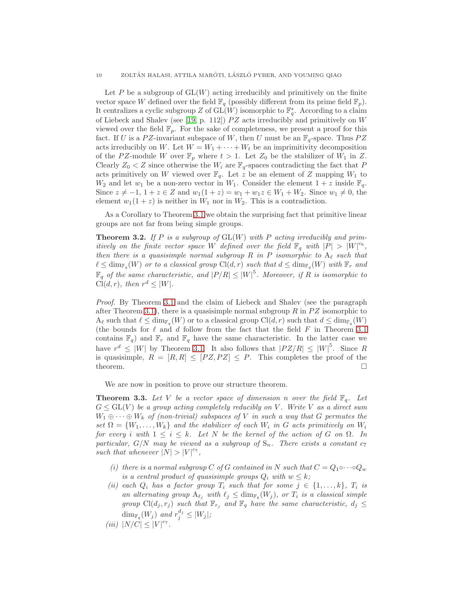Let P be a subgroup of  $GL(W)$  acting irreducibly and primitively on the finite vector space W defined over the field  $\mathbb{F}_q$  (possibly different from its prime field  $\mathbb{F}_p$ ). It centralizes a cyclic subgroup Z of  $\operatorname{GL}(W)$  isomorphic to  $\mathbb{F}_q^*$ . According to a claim of Liebeck and Shalev (see [\[19,](#page-13-9) p. 112])  $PZ$  acts irreducibly and primitively on W viewed over the field  $\mathbb{F}_p$ . For the sake of completeness, we present a proof for this fact. If U is a PZ-invariant subspace of W, then U must be an  $\mathbb{F}_q$ -space. Thus PZ acts irreducibly on W. Let  $W = W_1 + \cdots + W_t$  be an imprimitivity decomposition of the PZ-module W over  $\mathbb{F}_p$  where  $t > 1$ . Let  $Z_0$  be the stabilizer of  $W_1$  in Z. Clearly  $Z_0 < Z$  since otherwise the  $W_i$  are  $\mathbb{F}_q$ -spaces contradicting the fact that P acts primitively on W viewed over  $\mathbb{F}_q$ . Let z be an element of Z mapping  $W_1$  to  $W_2$  and let  $w_1$  be a non-zero vector in  $W_1$ . Consider the element  $1 + z$  inside  $\mathbb{F}_q$ . Since  $z \neq -1$ ,  $1 + z \in Z$  and  $w_1(1 + z) = w_1 + w_1z \in W_1 + W_2$ . Since  $w_1 \neq 0$ , the element  $w_1(1 + z)$  is neither in  $W_1$  nor in  $W_2$ . This is a contradiction.

As a Corollary to Theorem [3.1](#page-8-0) we obtain the surprising fact that primitive linear groups are not far from being simple groups.

<span id="page-9-1"></span>**Theorem 3.2.** If P is a subgroup of  $GL(W)$  with P acting irreducibly and primitively on the finite vector space W defined over the field  $\mathbb{F}_q$  with  $|P| > |W|^{c_6}$ , then there is a quasisimple normal subgroup R in P isomorphic to  $A_\ell$  such that  $\ell \leq \dim_{\mathbb{F}_q}(W)$  or to a classical group  $\text{Cl}(d,r)$  such that  $d \leq \dim_{\mathbb{F}_q}(W)$  with  $\mathbb{F}_r$  and  $\mathbb{F}_q$  of the same characteristic, and  $|P/R| \leq |W|^5$ . Moreover, if R is isomorphic to  $Cl(d,r)$ , then  $r^d \leq |W|$ .

Proof. By Theorem [3.1](#page-8-0) and the claim of Liebeck and Shalev (see the paragraph after Theorem [3.1\)](#page-8-0), there is a quasisimple normal subgroup R in  $PZ$  isomorphic to  $A_{\ell}$  such that  $\ell \leq \dim_{\mathbb{F}_q}(W)$  or to a classical group  $\text{Cl}(d, r)$  such that  $d \leq \dim_{\mathbb{F}_q}(W)$ (the bounds for  $\ell$  and  $d$  follow from the fact that the field  $F$  in Theorem [3.1](#page-8-0) contains  $\mathbb{F}_q$  and  $\mathbb{F}_r$  and  $\mathbb{F}_q$  have the same characteristic. In the latter case we have  $r^d \leq |W|$  by Theorem [3.1.](#page-8-0) It also follows that  $|PZ/R| \leq |W|^5$ . Since R is quasisimple,  $R = [R, R] \leq [PZ, PZ] \leq P$ . This completes the proof of the theorem. theorem.  $\square$ 

We are now in position to prove our structure theorem.

<span id="page-9-0"></span>**Theorem 3.3.** Let V be a vector space of dimension n over the field  $\mathbb{F}_q$ . Let  $G \leq GL(V)$  be a group acting completely reducibly on V. Write V as a direct sum  $W_1 \oplus \cdots \oplus W_k$  of (non-trivial) subspaces of V in such a way that G permutes the set  $\Omega = \{W_1, \ldots, W_k\}$  and the stabilizer of each  $W_i$  in G acts primitively on  $W_i$ for every i with  $1 \leq i \leq k$ . Let N be the kernel of the action of G on  $\Omega$ . In particular, G/N may be viewed as a subgroup of  $S_n$ . There exists a constant  $c_7$ such that whenever  $|N| > |V|^{c_7}$ ,

- (i) there is a normal subgroup C of G contained in N such that  $C = Q_1 \circ \cdots \circ Q_w$ is a central product of quasisimple groups  $Q_i$  with  $w \leq k$ ;
- (ii) each  $Q_i$  has a factor group  $T_i$  such that for some  $j \in \{1, ..., k\}$ ,  $T_i$  is an alternating group  $A_{\ell_j}$  with  $\ell_j \le \dim_{\mathbb{F}_q}(W_j)$ , or  $T_i$  is a classical simple group  $\text{Cl}(d_j, r_j)$  such that  $\mathbb{F}_{r_j}$  and  $\mathbb{F}_q$  have the same characteristic,  $d_j \leq$  $\dim_{\mathbb{F}_q}(W_j)$  and  $r_j^{d_j} \leq |W_j|$ ;
- (iii)  $|N/C| \leq |V|^{c_7}$ .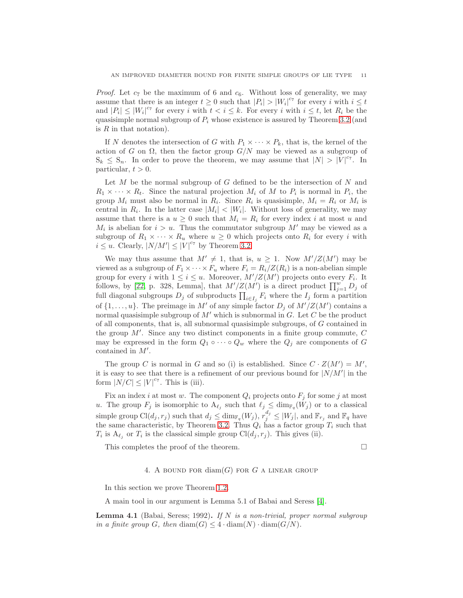*Proof.* Let  $c_7$  be the maximum of 6 and  $c_6$ . Without loss of generality, we may assume that there is an integer  $t \geq 0$  such that  $|P_i| > |W_i|^{c_7}$  for every i with  $i \leq t$ and  $|P_i| \leq |W_i|^{c_7}$  for every i with  $t < i \leq k$ . For every i with  $i \leq t$ , let  $R_i$  be the quasisimple normal subgroup of  $P_i$  whose existence is assured by Theorem [3.2](#page-9-1) (and is  $R$  in that notation).

If N denotes the intersection of G with  $P_1 \times \cdots \times P_k$ , that is, the kernel of the action of G on  $\Omega$ , then the factor group  $G/N$  may be viewed as a subgroup of  $S_k \leq S_n$ . In order to prove the theorem, we may assume that  $|N| > |V|^{c_7}$ . In particular,  $t > 0$ .

Let  $M$  be the normal subgroup of  $G$  defined to be the intersection of  $N$  and  $R_1 \times \cdots \times R_t$ . Since the natural projection  $M_i$  of M to  $P_i$  is normal in  $P_i$ , the group  $M_i$  must also be normal in  $R_i$ . Since  $R_i$  is quasisimple,  $M_i = R_i$  or  $M_i$  is central in  $R_i$ . In the latter case  $|M_i| < |W_i|$ . Without loss of generality, we may assume that there is a  $u \geq 0$  such that  $M_i = R_i$  for every index i at most u and  $M_i$  is abelian for  $i > u$ . Thus the commutator subgroup  $M'$  may be viewed as a subgroup of  $R_1 \times \cdots \times R_u$  where  $u \geq 0$  which projects onto  $R_i$  for every i with  $i \leq u$ . Clearly,  $|N/M'| \leq |V|^{c_7}$  by Theorem [3.2.](#page-9-1)

We may thus assume that  $M' \neq 1$ , that is,  $u \geq 1$ . Now  $M'/Z(M')$  may be viewed as a subgroup of  $F_1 \times \cdots \times F_u$  where  $F_i = R_i/Z(R_i)$  is a non-abelian simple group for every i with  $1 \leq i \leq u$ . Moreover,  $M'/Z(M')$  projects onto every  $F_i$ . It follows, by [\[22,](#page-13-10) p. 328, Lemma], that  $M'/Z(M')$  is a direct product  $\prod_{j=1}^{w} D_j$  of full diagonal subgroups  $D_j$  of subproducts  $\prod_{i \in I_j} F_i$  where the  $I_j$  form a partition of  $\{1, \ldots, u\}$ . The preimage in M' of any simple factor  $D_j$  of  $M'/Z(M')$  contains a normal quasisimple subgroup of  $M'$  which is subnormal in G. Let C be the product of all components, that is, all subnormal quasisimple subgroups, of G contained in the group  $M'$ . Since any two distinct components in a finite group commute,  $C$ may be expressed in the form  $Q_1 \circ \cdots \circ Q_w$  where the  $Q_j$  are components of G contained in M′ .

The group C is normal in G and so (i) is established. Since  $C \cdot Z(M') = M'$ , it is easy to see that there is a refinement of our previous bound for  $|N/M'|$  in the form  $|\dot{N}/C| \leq |V|^{c_7}$ . This is (iii).

Fix an index i at most w. The component  $Q_i$  projects onto  $F_j$  for some j at most u. The group  $F_j$  is isomorphic to  $A_{\ell_j}$  such that  $\ell_j \leq \dim_{\mathbb{F}_q}(W_j)$  or to a classical simple group  $\text{Cl}(d_j, r_j)$  such that  $d_j \le \dim_{\mathbb{F}_q}(W_j)$ ,  $r_j^{d_j} \le |W_j|$ , and  $\mathbb{F}_{r_j}$  and  $\mathbb{F}_q$  have the same characteristic, by Theorem [3.2.](#page-9-1) Thus  $Q_i$  has a factor group  $T_i$  such that  $T_i$  is  $A_{\ell_j}$  or  $T_i$  is the classical simple group  $Cl(d_j, r_j)$ . This gives (ii).

This completes the proof of the theorem.

## 4. A BOUND FOR  $\text{diam}(G)$  for G a linear group

In this section we prove Theorem [1.2.](#page-2-0)

A main tool in our argument is Lemma 5.1 of Babai and Seress [\[4\]](#page-12-0).

<span id="page-10-0"></span>**Lemma 4.1** (Babai, Seress; 1992). If N is a non-trivial, proper normal subgroup in a finite group G, then  $\text{diam}(G) \leq 4 \cdot \text{diam}(N) \cdot \text{diam}(G/N)$ .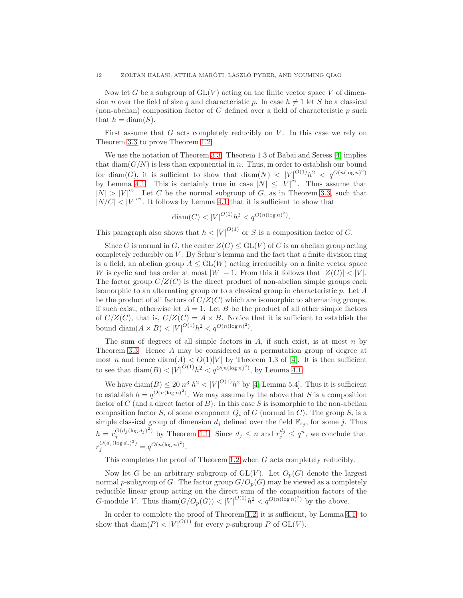Now let G be a subgroup of  $GL(V)$  acting on the finite vector space V of dimension *n* over the field of size q and characteristic p. In case  $h \neq 1$  let S be a classical (non-abelian) composition factor of  $G$  defined over a field of characteristic  $p$  such that  $h = \text{diam}(S)$ .

First assume that  $G$  acts completely reducibly on  $V$ . In this case we rely on Theorem [3.3](#page-9-0) to prove Theorem [1.2.](#page-2-0)

We use the notation of Theorem [3.3.](#page-9-0) Theorem 1.3 of Babai and Seress [\[4\]](#page-12-0) implies that  $\text{diam}(G/N)$  is less than exponential in n. Thus, in order to establish our bound for diam(G), it is sufficient to show that diam(N)  $\langle |V|^{O(1)}h^2 \langle q^{O(n(\log n)^2)} \rangle$ by Lemma [4.1.](#page-10-0) This is certainly true in case  $|N| \leq |V|^{c_7}$ . Thus assume that  $|N| > |V|^{c_7}$ . Let C be the normal subgroup of G, as in Theorem [3.3,](#page-9-0) such that  $|N/C|$  <  $|V|^{c_7}$ . It follows by Lemma [4.1](#page-10-0) that it is sufficient to show that

$$
diam(C) < |V|^{O(1)}h^2 < q^{O(n(\log n)^2)}.
$$

This paragraph also shows that  $h < |V|^{O(1)}$  or S is a composition factor of C.

Since C is normal in G, the center  $Z(C) \leq GL(V)$  of C is an abelian group acting completely reducibly on  $V$ . By Schur's lemma and the fact that a finite division ring is a field, an abelian group  $A \leq GL(W)$  acting irreducibly on a finite vector space W is cyclic and has order at most  $|W| - 1$ . From this it follows that  $|Z(C)| < |V|$ . The factor group  $C/Z(C)$  is the direct product of non-abelian simple groups each isomorphic to an alternating group or to a classical group in characteristic  $p$ . Let  $A$ be the product of all factors of  $C/Z(C)$  which are isomorphic to alternating groups, if such exist, otherwise let  $A = 1$ . Let B be the product of all other simple factors of  $C/Z(C)$ , that is,  $C/Z(C) = A \times B$ . Notice that it is sufficient to establish the bound diam( $A \times B$ ) < |V|<sup>O(1)</sup> $h^2 < q^{O(n(\log n)^2)}$ .

The sum of degrees of all simple factors in  $A$ , if such exist, is at most  $n$  by Theorem [3.3.](#page-9-0) Hence A may be considered as a permutation group of degree at most n and hence  $\text{diam}(A) < O(1)|V|$  by Theorem 1.3 of [\[4\]](#page-12-0). It is then sufficient to see that  $\text{diam}(B) < |V|^{O(1)} h^2 < q^{O(n(\log n)^2)}$ , by Lemma [4.1.](#page-10-0)

We have diam( $B$ )  $\leq 20 n^3 h^2 < |V|^{O(1)} h^2$  by [\[4,](#page-12-0) Lemma 5.4]. Thus it is sufficient to establish  $h = q^{O(n(\log n)^2)}$ . We may assume by the above that S is a composition factor of C (and a direct factor of B). In this case S is isomorphic to the non-abelian composition factor  $S_i$  of some component  $Q_i$  of G (normal in C). The group  $S_i$  is a simple classical group of dimension  $d_j$  defined over the field  $\mathbb{F}_{r_j}$ , for some j. Thus  $h = r_j^{O(d_j(\log d_j)^2)}$  by Theorem [1.1.](#page-1-0) Since  $d_j \leq n$  and  $r_j^{d_j} \leq q^n$ , we conclude that  $r_j^{O(d_j(\log d_j)^2)} = q^{O(n(\log n)^2)}.$ 

This completes the proof of Theorem [1.2](#page-2-0) when G acts completely reducibly.

Now let G be an arbitrary subgroup of  $GL(V)$ . Let  $O_p(G)$  denote the largest normal p-subgroup of G. The factor group  $G/O_p(G)$  may be viewed as a completely reducible linear group acting on the direct sum of the composition factors of the G-module V. Thus  $\text{diam}(G/O_p(G)) < |V|^{O(1)}h^2 < q^{O(n(\log n)^2)}$  by the above.

In order to complete the proof of Theorem [1.2,](#page-2-0) it is sufficient, by Lemma [4.1,](#page-10-0) to show that  $\text{diam}(P) < |V|^{O(1)}$  for every p-subgroup P of  $\text{GL}(V)$ .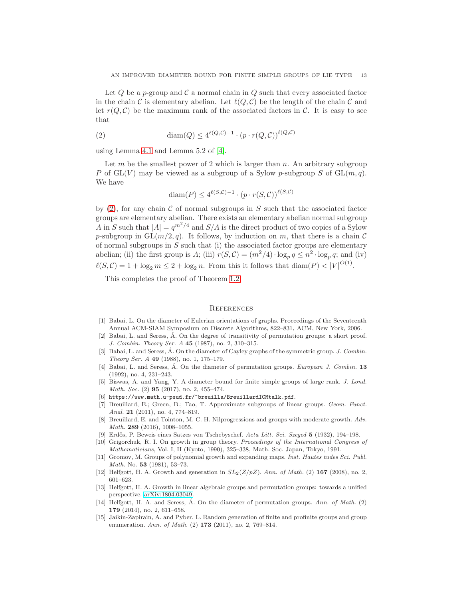Let  $Q$  be a p-group and  $C$  a normal chain in  $Q$  such that every associated factor in the chain C is elementary abelian. Let  $\ell(Q, C)$  be the length of the chain C and let  $r(Q, C)$  be the maximum rank of the associated factors in C. It is easy to see that

(2) 
$$
\text{diam}(Q) \leq 4^{\ell(Q, C) - 1} \cdot (p \cdot r(Q, C))^{(\ell(Q, C))}
$$

using Lemma [4.1](#page-10-0) and Lemma 5.2 of [\[4\]](#page-12-0).

Let m be the smallest power of 2 which is larger than  $n$ . An arbitrary subgroup P of  $GL(V)$  may be viewed as a subgroup of a Sylow p-subgroup S of  $GL(m, q)$ . We have

<span id="page-12-15"></span>
$$
\operatorname{diam}(P) \le 4^{\ell(S,C)-1} \cdot (p \cdot r(S,C))^{\ell(S,C)}
$$

by  $(2)$ , for any chain C of normal subgroups in S such that the associated factor groups are elementary abelian. There exists an elementary abelian normal subgroup A in S such that  $|A| = q^{m^2/4}$  and  $S/A$  is the direct product of two copies of a Sylow p-subgroup in  $GL(m/2, q)$ . It follows, by induction on m, that there is a chain C of normal subgroups in  $S$  such that (i) the associated factor groups are elementary abelian; (ii) the first group is A; (iii)  $r(S, C) = (m^2/4) \cdot \log_p q \leq n^2 \cdot \log_p q$ ; and (iv)  $\ell(S,\mathcal{C}) = 1 + \log_2 m \leq 2 + \log_2 n$ . From this it follows that  $\text{diam}(P) < |V|^{O(1)}$ .

This completes the proof of Theorem [1.2.](#page-2-0)

#### **REFERENCES**

- <span id="page-12-11"></span>[1] Babai, L. On the diameter of Eulerian orientations of graphs. Proceedings of the Seventeenth Annual ACM-SIAM Symposium on Discrete Algorithms, 822–831, ACM, New York, 2006.
- <span id="page-12-12"></span> $[2]$  Babai, L. and Seress,  $\dot{A}$ . On the degree of transitivity of permutation groups: a short proof. J. Combin. Theory Ser. A 45 (1987), no. 2, 310–315.
- <span id="page-12-3"></span>[3] Babai, L. and Seress,  $\dot{A}$ . On the diameter of Cayley graphs of the symmetric group. J. Combin. Theory Ser. A 49 (1988), no. 1, 175–179.
- <span id="page-12-0"></span>[4] Babai, L. and Seress,  $\acute{A}$ . On the diameter of permutation groups. *European J. Combin.* 13 (1992), no. 4, 231–243.
- <span id="page-12-8"></span>[5] Biswas, A. and Yang, Y. A diameter bound for finite simple groups of large rank. J. Lond. Math. Soc. (2) **95** (2017), no. 2, 455-474.
- <span id="page-12-7"></span><span id="page-12-2"></span>[6] https://www.math.u-psud.fr/~breuilla/BreuillardICMtalk.pdf.
- [7] Breuillard, E.; Green, B.; Tao, T. Approximate subgroups of linear groups. Geom. Funct. Anal. 21 (2011), no. 4, 774-819.
- <span id="page-12-6"></span>[8] Breuillard, E. and Tointon, M. C. H. Nilprogressions and groups with moderate growth. Adv. Math. 289 (2016), 1008-1055.
- <span id="page-12-13"></span><span id="page-12-10"></span>[9] Erdős, P. Beweis eines Satzes von Tschebyschef. Acta Litt. Sci. Szeged 5 (1932), 194–198.
- [10] Grigorchuk, R. I. On growth in group theory. Proceedings of the International Congress of Mathematicians, Vol. I, II (Kyoto, 1990), 325–338, Math. Soc. Japan, Tokyo, 1991.
- <span id="page-12-9"></span>[11] Gromov, M. Groups of polynomial growth and expanding maps. Inst. Hautes tudes Sci. Publ. Math. No. 53 (1981), 53–73.
- <span id="page-12-1"></span>[12] Helfgott, H. A. Growth and generation in  $SL_2(Z/pZ)$ . Ann. of Math. (2) 167 (2008), no. 2, 601–623.
- <span id="page-12-5"></span>[13] Helfgott, H. A. Growth in linear algebraic groups and permutation groups: towards a unified perspective. [arXiv:1804.03049.](http://arxiv.org/abs/1804.03049)
- <span id="page-12-4"></span>[14] Helfgott, H. A. and Seress,  $\AA$ . On the diameter of permutation groups. Ann. of Math. (2) 179 (2014), no. 2, 611–658.
- <span id="page-12-14"></span>[15] Jaikin-Zapirain, A. and Pyber, L. Random generation of finite and profinite groups and group enumeration. Ann. of Math. (2) **173** (2011), no. 2, 769–814.